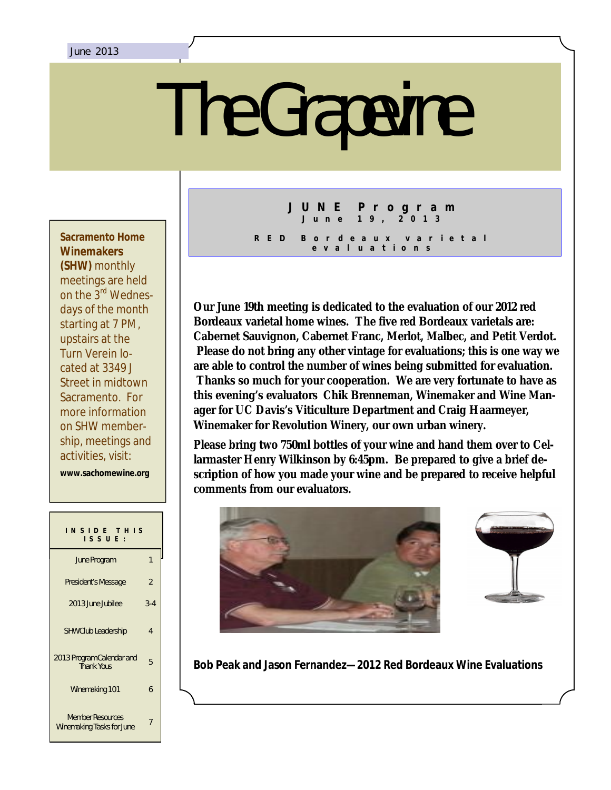# The Grapevine

**Sacramento Home Winemakers (SHW)** monthly meetings are held on the 3rd Wednesdays of the month starting at 7 PM, upstairs at the Turn Verein located at 3349 J Street in midtown Sacramento. For more information on SHW membership, meetings and activities, visit:

**www.sachomewine.org** 

| INSIDE THIS<br>$IS$ SUE :                            |                |
|------------------------------------------------------|----------------|
| June Program                                         | 1              |
| President's Message                                  | $\overline{2}$ |
| 2013 June Jubilee                                    | $3 - 4$        |
| <b>SHW Club Leadership</b>                           | 4              |
| 2013 Program Calendar and<br><b>Thank Yous</b>       | 5              |
| Winemaking 101                                       | 6              |
| <b>Member Resources</b><br>Winemaking Tasks for June | 7              |

# **J U N E P r o g r a m J u n e 1 9 , 2 0 1 3**

**R E D B o r d e a u x v a r i e t a l e v a l u a t i o n s**

**Our June 19th meeting is dedicated to the evaluation of our 2012 red Bordeaux varietal home wines. The five red Bordeaux varietals are: Cabernet Sauvignon, Cabernet Franc, Merlot, Malbec, and Petit Verdot. Please do not bring any other vintage for evaluations; this is one way we are able to control the number of wines being submitted for evaluation. Thanks so much for your cooperation. We are very fortunate to have as this evening's evaluators Chik Brenneman, Winemaker and Wine Manager for UC Davis's Viticulture Department and Craig Haarmeyer, Winemaker for Revolution Winery, our own urban winery.** 

**Please bring two 750ml bottles of your wine and hand them over to Cellarmaster Henry Wilkinson by 6:45pm. Be prepared to give a brief description of how you made your wine and be prepared to receive helpful comments from our evaluators.**





**Bob Peak and Jason Fernandez—2012 Red Bordeaux Wine Evaluations**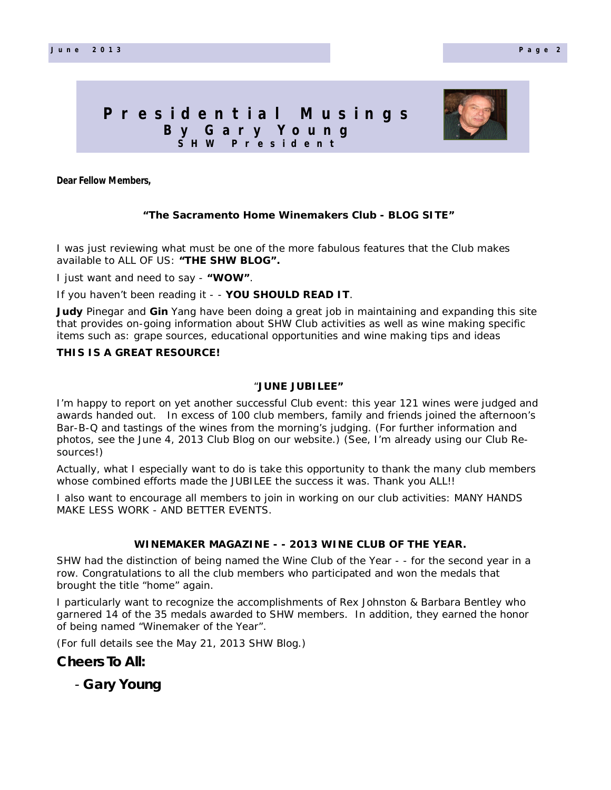# **P r e s i d e n t i a l M u s i n g s B y G a r y Y o u n g S H W P r e s i d e n t**



**Dear Fellow Members,**

# **"The Sacramento Home Winemakers Club - BLOG SITE"**

I was just reviewing what must be one of the more fabulous features that the Club makes available to ALL OF US: **"THE SHW BLOG".**

I just want and need to say - **"WOW"**.

If you haven't been reading it - - **YOU SHOULD READ IT**.

**Judy** Pinegar and **Gin** Yang have been doing a great job in maintaining and expanding this site that provides on-going information about SHW Club activities as well as wine making specific items such as: grape sources, educational opportunities and wine making tips and ideas

# **THIS IS A GREAT RESOURCE!**

### "**JUNE JUBILEE"**

I'm happy to report on yet another successful Club event: this year 121 wines were judged and awards handed out. In excess of 100 club members, family and friends joined the afternoon's Bar-B-Q and tastings of the wines from the morning's judging. (For further information and photos, see the June 4, 2013 Club Blog on our website.) (See, I'm already using our Club Resources!)

whose combined efforts made the JUBILEE the success it was. Thank you ALL!! Actually, what I especially want to do is take this opportunity to thank the many club members

I also want to encourage all members to join in working on our club activities: MANY HANDS MAKE LESS WORK - AND BETTER EVENTS.

### **WINEMAKER MAGAZINE - - 2013 WINE CLUB OF THE YEAR.**

SHW had the distinction of being named the Wine Club of the Year - - for the second year in a row. Congratulations to all the club members who participated and won the medals that brought the title "home" again.

I particularly want to recognize the accomplishments of Rex Johnston & Barbara Bentley who garnered 14 of the 35 medals awarded to SHW members. In addition, they earned the honor of being named "Winemaker of the Year".

(For full details see the May 21, 2013 SHW Blog.)

# **Cheers To All:**

- **Gary Young**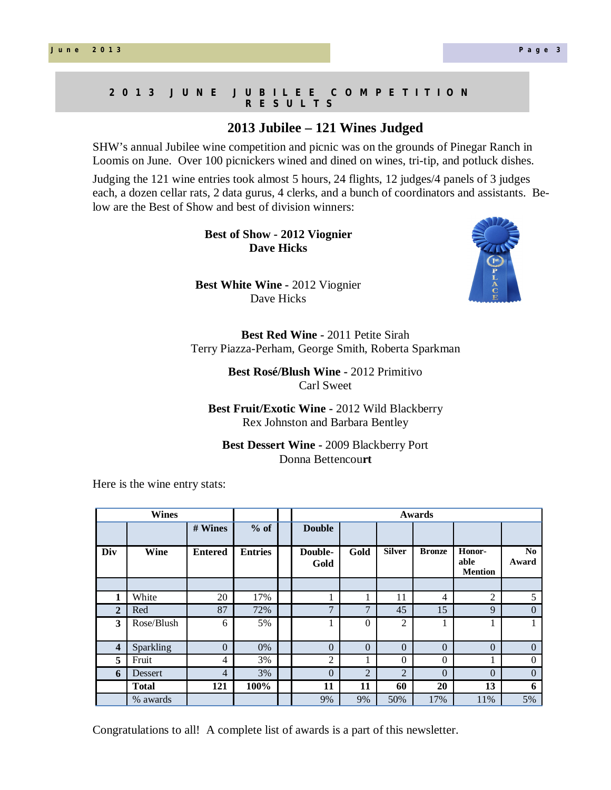### **2 0 1 3 J U N E J U B I L E E C O M P E T I T I O N R E S U L T S**

# **2013 Jubilee – 121 Wines Judged**

SHW's annual Jubilee wine competition and picnic was on the grounds of Pinegar Ranch in Loomis on June. Over 100 picnickers wined and dined on wines, tri-tip, and potluck dishes.

Judging the 121 wine entries took almost 5 hours, 24 flights, 12 judges/4 panels of 3 judges each, a dozen cellar rats, 2 data gurus, 4 clerks, and a bunch of coordinators and assistants. Below are the Best of Show and best of division winners:

> **Best of Show - 2012 Viognier Dave Hicks**

**Best White Wine -** 2012 Viognier Dave Hicks

**Best Red Wine -** 2011 Petite Sirah Terry Piazza-Perham, George Smith, Roberta Sparkman

> **Best Rosé/Blush Wine -** 2012 Primitivo Carl Sweet

**Best Fruit/Exotic Wine -** 2012 Wild Blackberry Rex Johnston and Barbara Bentley

**Best Dessert Wine -** 2009 Blackberry Port Donna Bettencou**rt**

Here is the wine entry stats:

| <b>Wines</b>     |                |                |                | Awards          |                |                |               |                                  |                         |
|------------------|----------------|----------------|----------------|-----------------|----------------|----------------|---------------|----------------------------------|-------------------------|
|                  |                | # Wines        | $%$ of         | <b>Double</b>   |                |                |               |                                  |                         |
| Div              | Wine           | <b>Entered</b> | <b>Entries</b> | Double-<br>Gold | Gold           | <b>Silver</b>  | <b>Bronze</b> | Honor-<br>able<br><b>Mention</b> | N <sub>0</sub><br>Award |
|                  |                |                |                |                 |                |                |               |                                  |                         |
|                  | White          | 20             | 17%            |                 |                | 11             | 4             | $\overline{2}$                   | 5                       |
| $\overline{2}$   | Red            | 87             | 72%            | 7               | 7              | 45             | 15            | 9                                | $\Omega$                |
| 3                | Rose/Blush     | 6              | 5%             |                 | $\theta$       | $\overline{2}$ |               |                                  |                         |
| $\boldsymbol{4}$ | Sparkling      | $\theta$       | 0%             | $\theta$        | $\theta$       | $\Omega$       | $\Omega$      | $\Omega$                         | $\theta$                |
| 5                | Fruit          | 4              | 3%             | $\overline{c}$  |                | $\theta$       | $\theta$      |                                  | $\theta$                |
| 6                | <b>Dessert</b> | $\overline{4}$ | 3%             | $\theta$        | $\overline{2}$ | $\overline{2}$ | $\Omega$      | $\Omega$                         | $\theta$                |
|                  | <b>Total</b>   | 121            | 100%           | 11              | 11             | 60             | 20            | 13                               | 6                       |
|                  | % awards       |                |                | 9%              | 9%             | 50%            | 17%           | 11%                              | 5%                      |

Congratulations to all! A complete list of awards is a part of this newsletter.

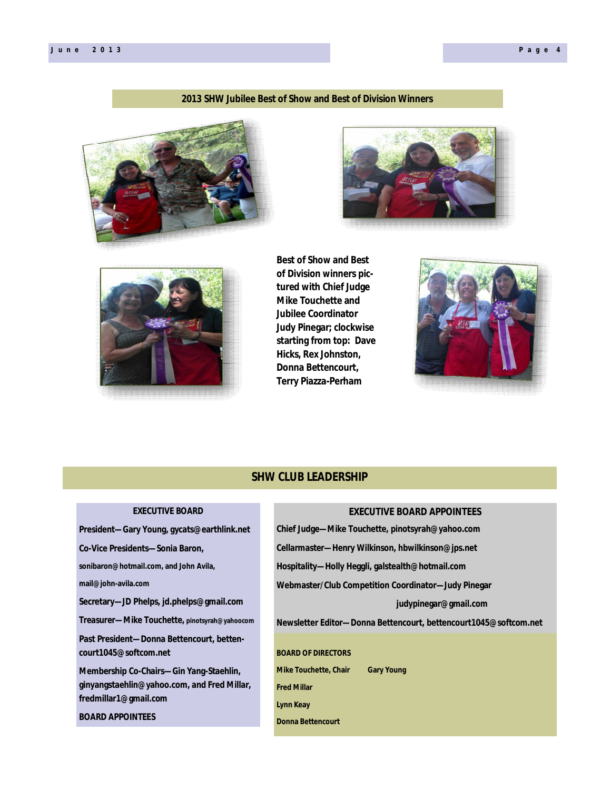# **2013 SHW Jubilee Best of Show and Best of Division Winners**







**Best of Show and Best of Division winners pictured with Chief Judge Mike Touchette and Jubilee Coordinator Judy Pinegar; clockwise starting from top: Dave Hicks, Rex Johnston, Donna Bettencourt, Terry Piazza-Perham** 



# **SHW CLUB LEADERSHIP**

| <b>EXECUTIVE BOARD</b>                        | <b>EXECUTIVE BOARD APPOINTEES</b>                                |
|-----------------------------------------------|------------------------------------------------------------------|
| President-Gary Young, gycats@earthlink.net    | Chief Judge—Mike Touchette, pinotsyrah@yahoo.com                 |
| Co-Vice Presidents-Sonia Baron,               | Cellarmaster-Henry Wilkinson, hbwilkinson@jps.net                |
| sonibaron@hotmail.com, and John Avila,        | Hospitality—Holly Heggli, galstealth@hotmail.com                 |
| mail@john-avila.com                           | Webmaster/Club Competition Coordinator-Judy Pinegar              |
| Secretary—JD Phelps, jd.phelps@gmail.com      | judypinegar@gmail.com                                            |
| Treasurer—Mike Touchette, pinotsyrah@yahoocom | Newsletter Editor-Donna Bettencourt, bettencourt1045@softcom.net |
| Past President-Donna Bettencourt, betten-     |                                                                  |
| court1045@softcom.net                         | <b>BOARD OF DIRECTORS</b>                                        |
| Membership Co-Chairs-Gin Yang-Staehlin,       | <b>Mike Touchette, Chair</b><br><b>Gary Young</b>                |
| ginyangstaehlin@yahoo.com, and Fred Millar,   | <b>Fred Millar</b>                                               |
| fredmillar1@gmail.com                         | <b>Lynn Keay</b>                                                 |
| <b>BOARD APPOINTEES</b>                       | <b>Donna Bettencourt</b>                                         |
|                                               |                                                                  |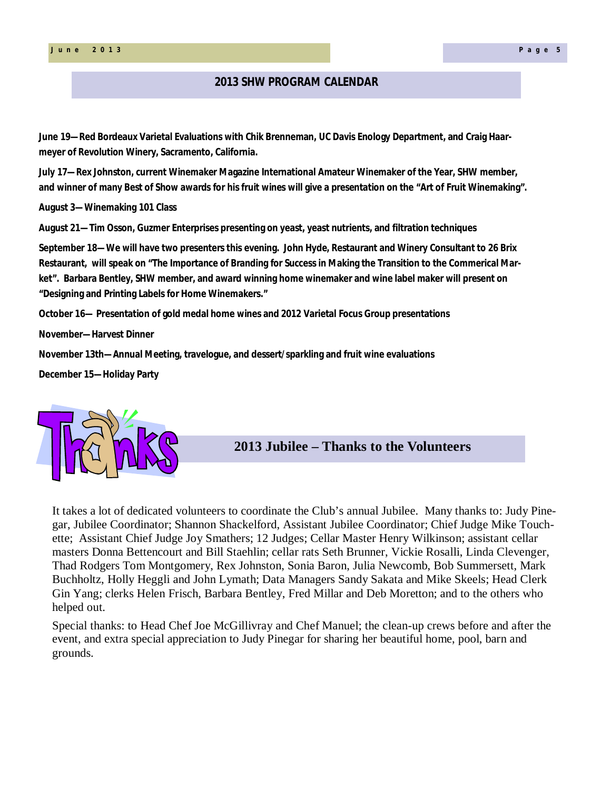# **2013 SHW PROGRAM CALENDAR**

**June 19—Red Bordeaux Varietal Evaluations with Chik Brenneman, UC Davis Enology Department, and Craig Haarmeyer of Revolution Winery, Sacramento, California.**

**July 17—Rex Johnston, current Winemaker Magazine International Amateur Winemaker of the Year, SHW member, and winner of many Best of Show awards for his fruit wines will give a presentation on the "Art of Fruit Winemaking".**

**August 3—Winemaking 101 Class**

**August 21—Tim Osson, Guzmer Enterprises presenting on yeast, yeast nutrients, and filtration techniques**

**September 18—We will have two presenters this evening. John Hyde, Restaurant and Winery Consultant to 26 Brix Restaurant, will speak on "The Importance of Branding for Success in Making the Transition to the Commerical Market". Barbara Bentley, SHW member, and award winning home winemaker and wine label maker will present on "Designing and Printing Labels for Home Winemakers."**

**October 16— Presentation of gold medal home wines and 2012 Varietal Focus Group presentations**

**November—Harvest Dinner**

**November 13th—Annual Meeting, travelogue, and dessert/sparkling and fruit wine evaluations**

**December 15—Holiday Party**



**2013 Jubilee – Thanks to the Volunteers**

It takes a lot of dedicated volunteers to coordinate the Club's annual Jubilee. Many thanks to: Judy Pinegar, Jubilee Coordinator; Shannon Shackelford, Assistant Jubilee Coordinator; Chief Judge Mike Touchette; Assistant Chief Judge Joy Smathers; 12 Judges; Cellar Master Henry Wilkinson; assistant cellar masters Donna Bettencourt and Bill Staehlin; cellar rats Seth Brunner, Vickie Rosalli, Linda Clevenger, Thad Rodgers Tom Montgomery, Rex Johnston, Sonia Baron, Julia Newcomb, Bob Summersett, Mark Buchholtz, Holly Heggli and John Lymath; Data Managers Sandy Sakata and Mike Skeels; Head Clerk Gin Yang; clerks Helen Frisch, Barbara Bentley, Fred Millar and Deb Moretton; and to the others who helped out.

Special thanks: to Head Chef Joe McGillivray and Chef Manuel; the clean-up crews before and after the event, and extra special appreciation to Judy Pinegar for sharing her beautiful home, pool, barn and grounds.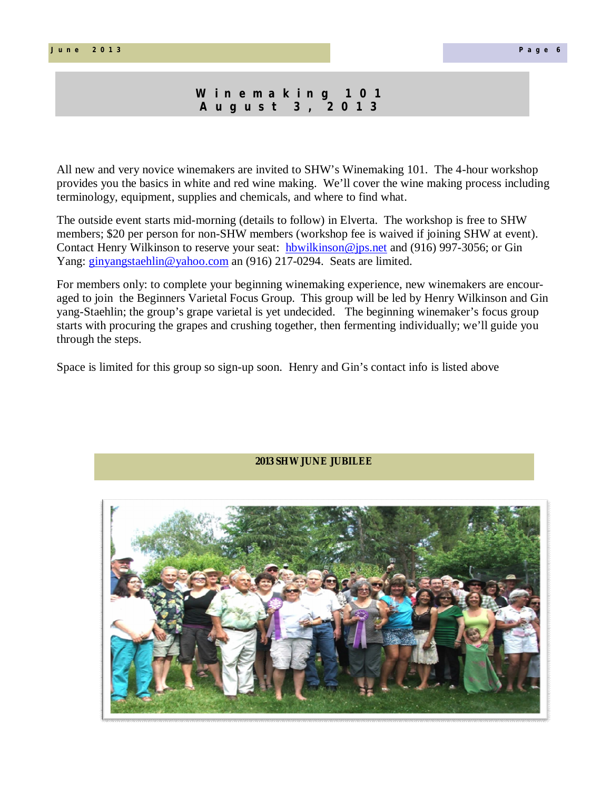# **W i n e m a k i n g 1 0 1 A u g u s t 3 , 2 0 1 3**

All new and very novice winemakers are invited to SHW's Winemaking 101. The 4-hour workshop provides you the basics in white and red wine making. We'll cover the wine making process including terminology, equipment, supplies and chemicals, and where to find what.

The outside event starts mid-morning (details to follow) in Elverta. The workshop is free to SHW members; \$20 per person for non-SHW members (workshop fee is waived if joining SHW at event). Contact Henry Wilkinson to reserve your seat: hbwilkinson@jps.net and (916) 997-3056; or Gin Yang: ginyangstaehlin@yahoo.com an (916) 217-0294. Seats are limited.

For members only: to complete your beginning winemaking experience, new winemakers are encouraged to join the Beginners Varietal Focus Group. This group will be led by Henry Wilkinson and Gin yang-Staehlin; the group's grape varietal is yet undecided. The beginning winemaker's focus group starts with procuring the grapes and crushing together, then fermenting individually; we'll guide you through the steps.

Space is limited for this group so sign-up soon. Henry and Gin's contact info is listed above



# **2013 SHW JUNE JUBILEE**